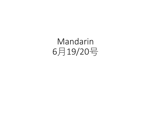## Mandarin 6月19/20号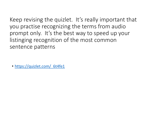Keep revising the quizlet. It's really important that you practise recognizing the terms from audio prompt only. It's the best way to speed up your listinging recognition of the most common sentence patterns

• https://quizlet.com/ 6t4fe1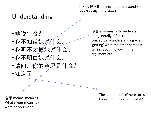## Understanding

- •她说什么?
- •我不知道她说什么。
- •我听不太懂她说什么。
- •我不明白她说什么。
- •请问, 你的意思是什么?
- •知道了。

听不太懂 = listen not too understand = I don't really understand

> 明白 also means 'to understand' but generally refers to conceptually understanding – ie 'getting' what the other person is talking about, following their argument etc

> > The addition of 'le' here turns 'I know' into 'I see!' or 'Got it!'

意思 means 'meaning' What's your meaning? = what do you mean?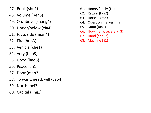- 47. Book (shu1)
- 48. Volume (ben3)
- 49. On/above (shang4)
- 50. Under/below (xia4)
- 51. Face, side (mian4)
- 52. Fire (huo3)
- 53. Vehicle (che1)
- 54. Very (hen3)
- 55. Good (hao3)
- 56. Peace (an1)
- 57. Door (men2)
- 58. To want, need, will (yao4)
- 59. North (bei3)
- 60. Capital (jing1)
- 61. Home/family (jia)
- 62. Return (hui2)
- 63. Horse (ma3
- 64. Question marker (ma)
- 65. Mum (ma1)
- 66. How many/several (ji3)
- 67. Hand (shou3)
- 68. Machine (ji1)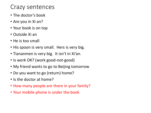## Crazy sentences

- The doctor's book
- Are you in Xi an?
- Your book is on top
- Outside Xi an
- He is too small
- His spoon is very small. Hers is very big.
- Tiananmen is very big. It isn't in Xi'an.
- Is work OK? (work good-not-good)
- My friend wants to go to Beijing tomorrow
- Do you want to go (return) home?
- Is the doctor at home?
- How many people are there in your family?
- Your mobile phone is under the book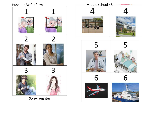

Son/daughter

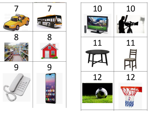